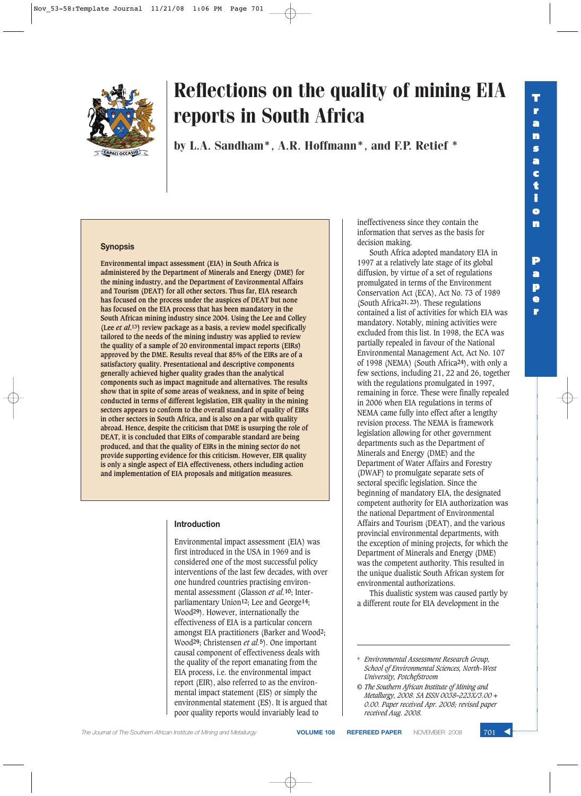

by L.A. Sandham\*, A.R. Hoffmann\*, and F.P. Retief \*

#### **Synopsis**

**Environmental impact assessment (EIA) in South Africa is administered by the Department of Minerals and Energy (DME) for the mining industry, and the Department of Environmental Affairs and Tourism (DEAT) for all other sectors. Thus far, EIA research has focused on the process under the auspices of DEAT but none has focused on the EIA process that has been mandatory in the South African mining industry since 2004. Using the Lee and Colley (Lee** *et al***.13) review package as a basis, a review model specifically tailored to the needs of the mining industry was applied to review the quality of a sample of 20 environmental impact reports (EIRs) approved by the DME. Results reveal that 85% of the EIRs are of a satisfactory quality. Presentational and descriptive components generally achieved higher quality grades than the analytical components such as impact magnitude and alternatives. The results show that in spite of some areas of weakness, and in spite of being conducted in terms of different legislation, EIR quality in the mining sectors appears to conform to the overall standard of quality of EIRs in other sectors in South Africa, and is also on a par with quality abroad. Hence, despite the criticism that DME is usurping the role of DEAT, it is concluded that EIRs of comparable standard are being produced, and that the quality of EIRs in the mining sector do not provide supporting evidence for this criticism. However, EIR quality is only a single aspect of EIA effectiveness, others including action and implementation of EIA proposals and mitigation measures.**

#### **Introduction**

Environmental impact assessment (EIA) was first introduced in the USA in 1969 and is considered one of the most successful policy interventions of the last few decades, with over one hundred countries practising environmental assessment (Glasson *et al.***10**; Interparliamentary Union**12**; Lee and George**14**; Wood**29**). However, internationally the effectiveness of EIA is a particular concern amongst EIA practitioners (Barker and Wood**2**; Wood**29**; Christensen *et al.***5**). One important causal component of effectiveness deals with the quality of the report emanating from the EIA process, i.e. the environmental impact report (EIR), also referred to as the environmental impact statement (EIS) or simply the environmental statement (ES). It is argued that poor quality reports would invariably lead to

ineffectiveness since they contain the information that serves as the basis for decision making.

South Africa adopted mandatory EIA in 1997 at a relatively late stage of its global diffusion, by virtue of a set of regulations promulgated in terms of the Environment Conservation Act (ECA), Act No. 73 of 1989 (South Africa**21, 23**). These regulations contained a list of activities for which EIA was mandatory. Notably, mining activities were excluded from this list. In 1998, the ECA was partially repealed in favour of the National Environmental Management Act, Act No. 107 of 1998 (NEMA) (South Africa**24**), with only a few sections, including 21, 22 and 26, together with the regulations promulgated in 1997, remaining in force. These were finally repealed in 2006 when EIA regulations in terms of NEMA came fully into effect after a lengthy revision process. The NEMA is framework legislation allowing for other government departments such as the Department of Minerals and Energy (DME) and the Department of Water Affairs and Forestry (DWAF) to promulgate separate sets of sectoral specific legislation. Since the beginning of mandatory EIA, the designated competent authority for EIA authorization was the national Department of Environmental Affairs and Tourism (DEAT), and the various provincial environmental departments, with the exception of mining projects, for which the Department of Minerals and Energy (DME) was the competent authority. This resulted in the unique dualistic South African system for environmental authorizations.

This dualistic system was caused partly by a different route for EIA development in the

**e r**

**The Journal of The Southern African Institute of Mining and Metallurgy <b>VOLUME 108 REFEREED PAPER** NOVEMBER 2008

<sup>\*</sup> *Environmental Assessment Research Group, School of Environmental Sciences, North-West University, Potchefstroom*

*<sup>©</sup> The Southern African Institute of Mining and Metallurgy, 2008. SA ISSN 0038–223X/3.00 + 0.00. Paper received Apr. 2008; revised paper received Aug. 2008.*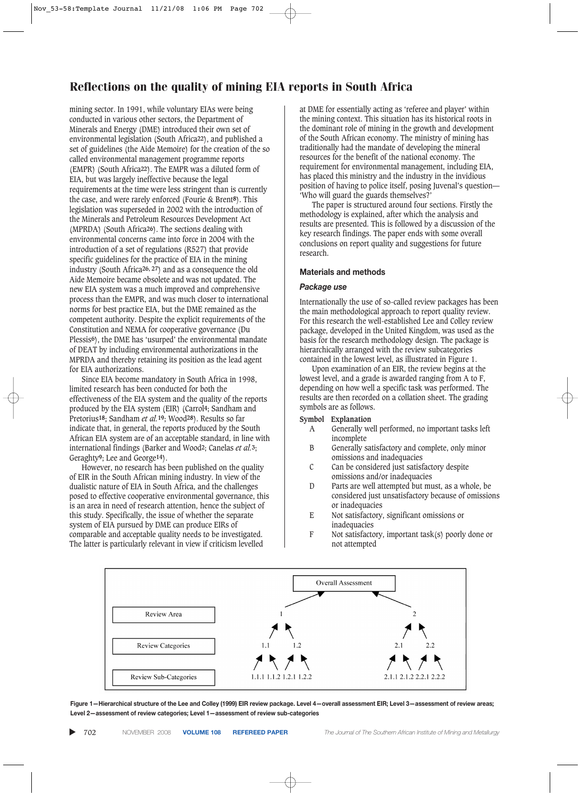mining sector. In 1991, while voluntary EIAs were being conducted in various other sectors, the Department of Minerals and Energy (DME) introduced their own set of environmental legislation (South Africa**22**), and published a set of guidelines (the Aide Memoire) for the creation of the so called environmental management programme reports (EMPR) (South Africa**22**). The EMPR was a diluted form of EIA, but was largely ineffective because the legal requirements at the time were less stringent than is currently the case, and were rarely enforced (Fourie & Brent**8**). This legislation was superseded in 2002 with the introduction of the Minerals and Petroleum Resources Development Act (MPRDA) (South Africa**26**). The sections dealing with environmental concerns came into force in 2004 with the introduction of a set of regulations (R527) that provide specific guidelines for the practice of EIA in the mining industry (South Africa**26, 27**) and as a consequence the old Aide Memoire became obsolete and was not updated. The new EIA system was a much improved and comprehensive process than the EMPR, and was much closer to international norms for best practice EIA, but the DME remained as the competent authority. Despite the explicit requirements of the Constitution and NEMA for cooperative governance (Du Plessis**6**), the DME has 'usurped' the environmental mandate of DEAT by including environmental authorizations in the MPRDA and thereby retaining its position as the lead agent for EIA authorizations.

Since EIA become mandatory in South Africa in 1998, limited research has been conducted for both the effectiveness of the EIA system and the quality of the reports produced by the EIA system (EIR) (Carrol**4**; Sandham and Pretorius**18**; Sandham *et al.***19**; Wood**28**). Results so far indicate that, in general, the reports produced by the South African EIA system are of an acceptable standard, in line with international findings (Barker and Wood**2**; Canelas *et al.***3**; Geraghty**9**; Lee and George**14**).

However, no research has been published on the quality of EIR in the South African mining industry. In view of the dualistic nature of EIA in South Africa, and the challenges posed to effective cooperative environmental governance, this is an area in need of research attention, hence the subject of this study. Specifically, the issue of whether the separate system of EIA pursued by DME can produce EIRs of comparable and acceptable quality needs to be investigated. The latter is particularly relevant in view if criticism levelled

at DME for essentially acting as 'referee and player' within the mining context. This situation has its historical roots in the dominant role of mining in the growth and development of the South African economy. The ministry of mining has traditionally had the mandate of developing the mineral resources for the benefit of the national economy. The requirement for environmental management, including EIA, has placed this ministry and the industry in the invidious position of having to police itself, posing Juvenal's question— 'Who will guard the guards themselves?'

The paper is structured around four sections. Firstly the methodology is explained, after which the analysis and results are presented. This is followed by a discussion of the key research findings. The paper ends with some overall conclusions on report quality and suggestions for future research.

#### **Materials and methods**

#### *Package use*

Internationally the use of so-called review packages has been the main methodological approach to report quality review. For this research the well-established Lee and Colley review package, developed in the United Kingdom, was used as the basis for the research methodology design. The package is hierarchically arranged with the review subcategories contained in the lowest level, as illustrated in Figure 1.

Upon examination of an EIR, the review begins at the lowest level, and a grade is awarded ranging from A to F, depending on how well a specific task was performed. The results are then recorded on a collation sheet. The grading symbols are as follows.

#### **Symbol Explanation**

- A Generally well performed, no important tasks left incomplete
- B Generally satisfactory and complete, only minor omissions and inadequacies
- C Can be considered just satisfactory despite omissions and/or inadequacies
- D Parts are well attempted but must, as a whole, be considered just unsatisfactory because of omissions or inadequacies
- E Not satisfactory, significant omissions or inadequacies
- F Not satisfactory, important task(s) poorly done or not attempted



**Figure 1—Hierarchical structure of the Lee and Colley (1999) EIR review package. Level 4—overall assessment EIR; Level 3—assessment of review areas; Level 2—assessment of review categories; Level 1—assessment of review sub-categories**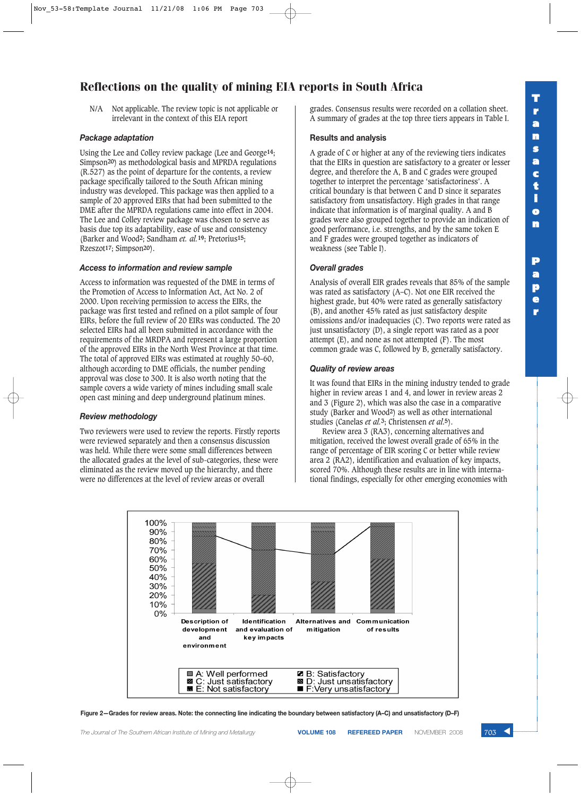## **T r a n s a c t i o n P**

**a p e r**

N/A Not applicable. The review topic is not applicable or irrelevant in the context of this EIA report

#### *Package adaptation*

Using the Lee and Colley review package (Lee and George**14**; Simpson**20**) as methodological basis and MPRDA regulations (R.527) as the point of departure for the contents, a review package specifically tailored to the South African mining industry was developed. This package was then applied to a sample of 20 approved EIRs that had been submitted to the DME after the MPRDA regulations came into effect in 2004. The Lee and Colley review package was chosen to serve as basis due top its adaptability, ease of use and consistency (Barker and Wood**2**; Sandham *et. al.***19**; Pretorius**15**; Rzeszot**17**; Simpson**20**).

#### *Access to information and review sample*

Access to information was requested of the DME in terms of the Promotion of Access to Information Act, Act No. 2 of 2000. Upon receiving permission to access the EIRs, the package was first tested and refined on a pilot sample of four EIRs, before the full review of 20 EIRs was conducted. The 20 selected EIRs had all been submitted in accordance with the requirements of the MRDPA and represent a large proportion of the approved EIRs in the North West Province at that time. The total of approved EIRs was estimated at roughly 50–60, although according to DME officials, the number pending approval was close to 300. It is also worth noting that the sample covers a wide variety of mines including small scale open cast mining and deep underground platinum mines.

#### *Review methodology*

Two reviewers were used to review the reports. Firstly reports were reviewed separately and then a consensus discussion was held. While there were some small differences between the allocated grades at the level of sub-categories, these were eliminated as the review moved up the hierarchy, and there were no differences at the level of review areas or overall

grades. Consensus results were recorded on a collation sheet. A summary of grades at the top three tiers appears in Table I.

#### **Results and analysis**

A grade of C or higher at any of the reviewing tiers indicates that the EIRs in question are satisfactory to a greater or lesser degree, and therefore the A, B and C grades were grouped together to interpret the percentage 'satisfactoriness'. A critical boundary is that between C and D since it separates satisfactory from unsatisfactory. High grades in that range indicate that information is of marginal quality. A and B grades were also grouped together to provide an indication of good performance, i.e. strengths, and by the same token E and F grades were grouped together as indicators of weakness (see Table I).

#### *Overall grades*

Analysis of overall EIR grades reveals that 85% of the sample was rated as satisfactory (A–C). Not one EIR received the highest grade, but 40% were rated as generally satisfactory (B), and another 45% rated as just satisfactory despite omissions and/or inadequacies (C). Two reports were rated as just unsatisfactory (D), a single report was rated as a poor attempt  $(E)$ , and none as not attempted  $(F)$ . The most common grade was C, followed by B, generally satisfactory.

#### *Quality of review areas*

It was found that EIRs in the mining industry tended to grade higher in review areas 1 and 4, and lower in review areas 2 and 3 (Figure 2), which was also the case in a comparative study (Barker and Wood**2**) as well as other international studies (Canelas *et al.***3**; Christensen *et al*.**5**).

Review area 3 (RA3), concerning alternatives and mitigation, received the lowest overall grade of 65% in the range of percentage of EIR scoring C or better while review area 2 (RA2), identification and evaluation of key impacts, scored 70%. Although these results are in line with international findings, especially for other emerging economies with



**Figure 2—Grades for review areas. Note: the connecting line indicating the boundary between satisfactory (A–C) and unsatisfactory (D–F)**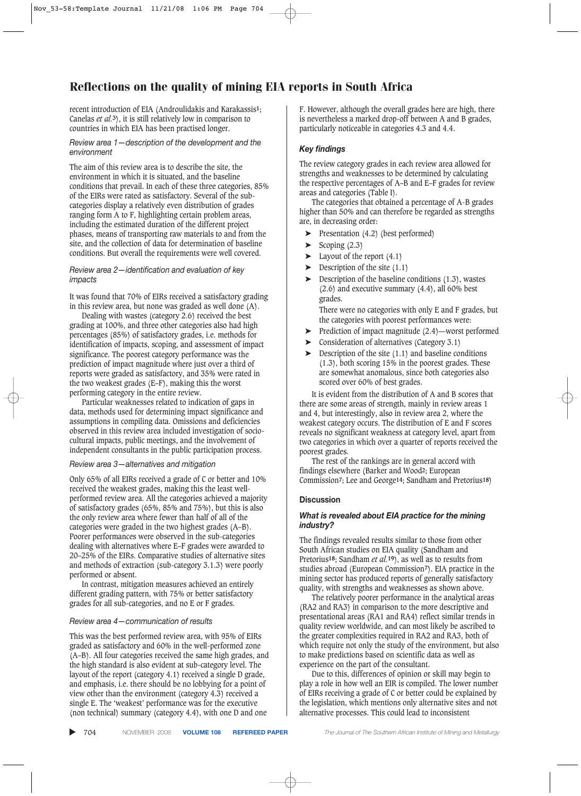recent introduction of EIA (Androulidakis and Karakassis**1**; Canelas *et al.***3**), it is still relatively low in comparison to countries in which EIA has been practised longer.

#### *Review area 1—description of the development and the environment*

The aim of this review area is to describe the site, the environment in which it is situated, and the baseline conditions that prevail. In each of these three categories, 85% of the EIRs were rated as satisfactory. Several of the subcategories display a relatively even distribution of grades ranging form A to F, highlighting certain problem areas, including the estimated duration of the different project phases, means of transporting raw materials to and from the site, and the collection of data for determination of baseline conditions. But overall the requirements were well covered.

#### *Review area 2—identification and evaluation of key impacts*

It was found that 70% of EIRs received a satisfactory grading in this review area, but none was graded as well done (A).

Dealing with wastes (category 2.6) received the best grading at 100%, and three other categories also had high percentages (85%) of satisfactory grades, i.e. methods for identification of impacts, scoping, and assessment of impact significance. The poorest category performance was the prediction of impact magnitude where just over a third of reports were graded as satisfactory, and 35% were rated in the two weakest grades (E–F), making this the worst performing category in the entire review.

Particular weaknesses related to indication of gaps in data, methods used for determining impact significance and assumptions in compiling data. Omissions and deficiencies observed in this review area included investigation of sociocultural impacts, public meetings, and the involvement of independent consultants in the public participation process.

#### *Review area 3—alternatives and mitigation*

Only 65% of all EIRs received a grade of C or better and 10% received the weakest grades, making this the least wellperformed review area. All the categories achieved a majority of satisfactory grades (65%, 85% and 75%), but this is also the only review area where fewer than half of all of the categories were graded in the two highest grades (A–B). Poorer performances were observed in the sub-categories dealing with alternatives where E–F grades were awarded to 20–25% of the EIRs. Comparative studies of alternative sites and methods of extraction (sub-category 3.1.3) were poorly performed or absent.

In contrast, mitigation measures achieved an entirely different grading pattern, with 75% or better satisfactory grades for all sub-categories, and no E or F grades.

#### *Review area 4—communication of results*

This was the best performed review area, with 95% of EIRs graded as satisfactory and 60% in the well-performed zone (A–B). All four categories received the same high grades, and the high standard is also evident at sub-category level. The layout of the report (category 4.1) received a single D grade, and emphasis, i.e. there should be no lobbying for a point of view other than the environment (category 4.3) received a single E. The 'weakest' performance was for the executive (non technical) summary (category 4.4), with one D and one

F. However, although the overall grades here are high, there is nevertheless a marked drop-off between A and B grades, particularly noticeable in categories 4.3 and 4.4.

#### *Key findings*

The review category grades in each review area allowed for strengths and weaknesses to be determined by calculating the respective percentages of A–B and E–F grades for review areas and categories (Table I).

The categories that obtained a percentage of A-B grades higher than 50% and can therefore be regarded as strengths are, in decreasing order:

- ➤ Presentation (4.2) (best performed)
- $\blacktriangleright$  Scoping (2.3)
- $\blacktriangleright$  Layout of the report (4.1)
- Description of the site  $(1.1)$
- Description of the baseline conditions  $(1.3)$ , wastes (2.6) and executive summary (4.4), all 60% best grades.

There were no categories with only E and F grades, but the categories with poorest performances were:

- ➤ Prediction of impact magnitude (2.4)—worst performed
- ➤ Consideration of alternatives (Category 3.1)
- Description of the site  $(1.1)$  and baseline conditions (1.3), both scoring 15% in the poorest grades. These are somewhat anomalous, since both categories also scored over 60% of best grades.

It is evident from the distribution of A and B scores that there are some areas of strength, mainly in review areas 1 and 4, but interestingly, also in review area 2, where the weakest category occurs. The distribution of E and F scores reveals no significant weakness at category level, apart from two categories in which over a quarter of reports received the poorest grades.

The rest of the rankings are in general accord with findings elsewhere (Barker and Wood**2**; European Commission**7**; Lee and George**14**; Sandham and Pretorius**18**)

#### **Discussion**

#### *What is revealed about EIA practice for the mining industry?*

The findings revealed results similar to those from other South African studies on EIA quality (Sandham and Pretorius**18**; Sandham *et al.***19**), as well as to results from studies abroad (European Commission**7**). EIA practice in the mining sector has produced reports of generally satisfactory quality, with strengths and weaknesses as shown above.

The relatively poorer performance in the analytical areas (RA2 and RA3) in comparison to the more descriptive and presentational areas (RA1 and RA4) reflect similar trends in quality review worldwide, and can most likely be ascribed to the greater complexities required in RA2 and RA3, both of which require not only the study of the environment, but also to make predictions based on scientific data as well as experience on the part of the consultant.

Due to this, differences of opinion or skill may begin to play a role in how well an EIR is compiled. The lower number of EIRs receiving a grade of C or better could be explained by the legislation, which mentions only alternative sites and not alternative processes. This could lead to inconsistent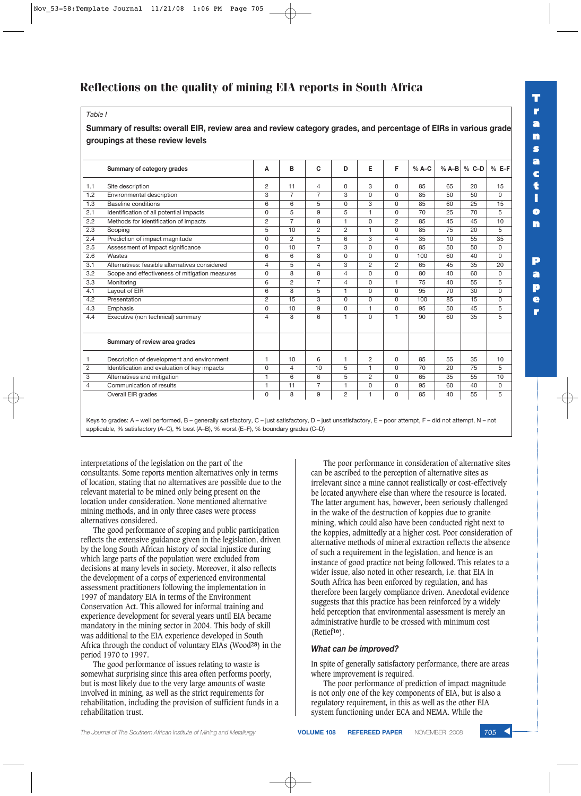## *Table I*

### **Summary of results: overall EIR, review area and review category grades, and percentage of EIRs in various grade groupings at these review levels**

|                | Summary of category grades                     | A              | B              | C              | D              | Е        | F              | $% A-C$ | $% A-B$ | $%$ C-D | $%E-F$   |
|----------------|------------------------------------------------|----------------|----------------|----------------|----------------|----------|----------------|---------|---------|---------|----------|
| 1.1            | Site description                               | $\overline{2}$ | 11             | 4              | $\Omega$       | 3        | 0              | 85      | 65      | 20      | 15       |
| 1.2            | Environmental description                      | 3              | $\overline{7}$ | $\overline{7}$ | 3              | 0        | <sup>0</sup>   | 85      | 50      | 50      | 0        |
| 1.3            | Baseline conditions                            | 6              | 6              | 5              | 0              | 3        | 0              | 85      | 60      | 25      | 15       |
| 2.1            | Identification of all potential impacts        | $\Omega$       | 5              | 9              | 5              | 1        | 0              | 70      | 25      | 70      | 5        |
| 2.2            | Methods for identification of impacts          | 2              | $\overline{7}$ | 8              | 1              | $\Omega$ | $\overline{2}$ | 85      | 45      | 45      | 10       |
| 2.3            | Scoping                                        | 5              | 10             | $\overline{2}$ | $\overline{2}$ | 1        | 0              | 85      | 75      | 20      | 5        |
| 2.4            | Prediction of impact magnitude                 | $\Omega$       | $\overline{2}$ | 5              | 6              | 3        | 4              | 35      | 10      | 55      | 35       |
| 2.5            | Assessment of impact significance              | $\Omega$       | 10             | $\overline{7}$ | 3              | $\Omega$ | 0              | 85      | 50      | 50      | 0        |
| 2.6            | Wastes                                         | 6              | 6              | 8              | 0              | 0        | $\Omega$       | 100     | 60      | 40      | $\Omega$ |
| 3.1            | Alternatives: feasible alternatives considered | 4              | 5              | 4              | 3              | 2        | $\overline{2}$ | 65      | 45      | 35      | 20       |
| 3.2            | Scope and effectiveness of mitigation measures | $\Omega$       | 8              | 8              | 4              | $\Omega$ | 0              | 80      | 40      | 60      | 0        |
| 3.3            | Monitoring                                     | 6              | 2              | $\overline{7}$ | 4              | 0        | 1              | 75      | 40      | 55      | 5        |
| 4.1            | Layout of EIR                                  | 6              | 8              | 5              | 1              | $\Omega$ | $\Omega$       | 95      | 70      | 30      | 0        |
| 4.2            | Presentation                                   | 2              | 15             | 3              | $\Omega$       | $\Omega$ | $\Omega$       | 100     | 85      | 15      | $\Omega$ |
| 4.3            | Emphasis                                       | 0              | 10             | 9              | $\Omega$       | 1        | 0              | 95      | 50      | 45      | 5        |
| 4.4            | Executive (non technical) summary              | 4              | 8              | 6              | 1              | $\Omega$ | $\overline{1}$ | 90      | 60      | 35      | 5        |
|                | Summary of review area grades                  |                |                |                |                |          |                |         |         |         |          |
|                | Description of development and environment     | 1              | 10             | 6              | 1              | 2        | 0              | 85      | 55      | 35      | 10       |
| 2              | Identification and evaluation of key impacts   | $\Omega$       | $\overline{4}$ | 10             | 5              | 1        | $\Omega$       | 70      | 20      | 75      | 5        |
| 3              | Alternatives and mitigation                    | 1              | 6              | 6              | 5              | 2        | 0              | 65      | 35      | 55      | 10       |
| $\overline{4}$ | Communication of results                       | 1              | 11             | $\overline{7}$ | 1              | $\Omega$ | 0              | 95      | 60      | 40      | $\Omega$ |
|                | Overall EIR grades                             | $\Omega$       | 8              | 9              | $\overline{2}$ | 1        | 0              | 85      | 40      | 55      | 5        |

Keys to grades: A – well performed, B – generally satisfactory, C – just satisfactory, D – just unsatisfactory, E – poor attempt, F – did not attempt, N – not applicable, % satisfactory (A–C), % best (A–B), % worst (E–F), % boundary grades (C–D)

interpretations of the legislation on the part of the consultants. Some reports mention alternatives only in terms of location, stating that no alternatives are possible due to the relevant material to be mined only being present on the location under consideration. None mentioned alternative mining methods, and in only three cases were process alternatives considered.

The good performance of scoping and public participation reflects the extensive guidance given in the legislation, driven by the long South African history of social injustice during which large parts of the population were excluded from decisions at many levels in society. Moreover, it also reflects the development of a corps of experienced environmental assessment practitioners following the implementation in 1997 of mandatory EIA in terms of the Environment Conservation Act. This allowed for informal training and experience development for several years until EIA became mandatory in the mining sector in 2004. This body of skill was additional to the EIA experience developed in South Africa through the conduct of voluntary EIAs (Wood**28**) in the period 1970 to 1997.

The good performance of issues relating to waste is somewhat surprising since this area often performs poorly, but is most likely due to the very large amounts of waste involved in mining, as well as the strict requirements for rehabilitation, including the provision of sufficient funds in a rehabilitation trust.

The poor performance in consideration of alternative sites can be ascribed to the perception of alternative sites as irrelevant since a mine cannot realistically or cost-effectively be located anywhere else than where the resource is located. The latter argument has, however, been seriously challenged in the wake of the destruction of koppies due to granite mining, which could also have been conducted right next to the koppies, admittedly at a higher cost. Poor consideration of alternative methods of mineral extraction reflects the absence of such a requirement in the legislation, and hence is an instance of good practice not being followed. This relates to a wider issue, also noted in other research, i.e. that EIA in South Africa has been enforced by regulation, and has therefore been largely compliance driven. Anecdotal evidence suggests that this practice has been reinforced by a widely held perception that environmental assessment is merely an administrative hurdle to be crossed with minimum cost (Retief**16**).

#### *What can be improved?*

In spite of generally satisfactory performance, there are areas where improvement is required.

The poor performance of prediction of impact magnitude is not only one of the key components of EIA, but is also a regulatory requirement, in this as well as the other EIA system functioning under ECA and NEMA. While the

**T r a n s a c t i o n P a p**

> **e r**

*The Journal of The Southern African Institute of Mining and Metallurgy* **VOLUME 108 REFEREED PAPER** NOVEMBER 2008 705 ▲